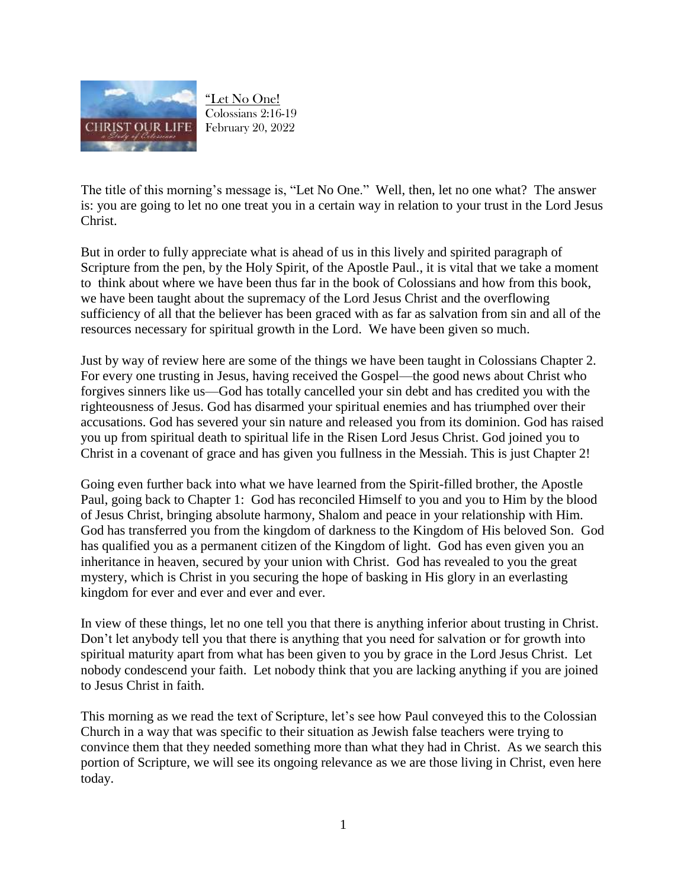

"Let No One! Colossians 2:16-19 February 20, 2022

The title of this morning's message is, "Let No One." Well, then, let no one what? The answer is: you are going to let no one treat you in a certain way in relation to your trust in the Lord Jesus Christ.

But in order to fully appreciate what is ahead of us in this lively and spirited paragraph of Scripture from the pen, by the Holy Spirit, of the Apostle Paul., it is vital that we take a moment to think about where we have been thus far in the book of Colossians and how from this book, we have been taught about the supremacy of the Lord Jesus Christ and the overflowing sufficiency of all that the believer has been graced with as far as salvation from sin and all of the resources necessary for spiritual growth in the Lord. We have been given so much.

Just by way of review here are some of the things we have been taught in Colossians Chapter 2. For every one trusting in Jesus, having received the Gospel—the good news about Christ who forgives sinners like us—God has totally cancelled your sin debt and has credited you with the righteousness of Jesus. God has disarmed your spiritual enemies and has triumphed over their accusations. God has severed your sin nature and released you from its dominion. God has raised you up from spiritual death to spiritual life in the Risen Lord Jesus Christ. God joined you to Christ in a covenant of grace and has given you fullness in the Messiah. This is just Chapter 2!

Going even further back into what we have learned from the Spirit-filled brother, the Apostle Paul, going back to Chapter 1: God has reconciled Himself to you and you to Him by the blood of Jesus Christ, bringing absolute harmony, Shalom and peace in your relationship with Him. God has transferred you from the kingdom of darkness to the Kingdom of His beloved Son. God has qualified you as a permanent citizen of the Kingdom of light. God has even given you an inheritance in heaven, secured by your union with Christ. God has revealed to you the great mystery, which is Christ in you securing the hope of basking in His glory in an everlasting kingdom for ever and ever and ever and ever.

In view of these things, let no one tell you that there is anything inferior about trusting in Christ. Don't let anybody tell you that there is anything that you need for salvation or for growth into spiritual maturity apart from what has been given to you by grace in the Lord Jesus Christ. Let nobody condescend your faith. Let nobody think that you are lacking anything if you are joined to Jesus Christ in faith.

This morning as we read the text of Scripture, let's see how Paul conveyed this to the Colossian Church in a way that was specific to their situation as Jewish false teachers were trying to convince them that they needed something more than what they had in Christ. As we search this portion of Scripture, we will see its ongoing relevance as we are those living in Christ, even here today.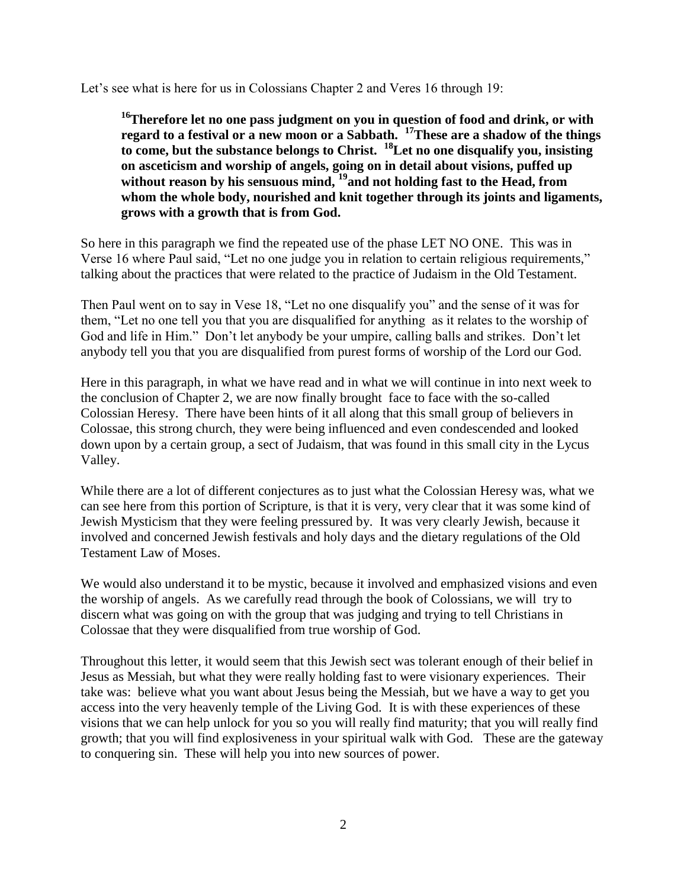Let's see what is here for us in Colossians Chapter 2 and Veres 16 through 19:

<sup>16</sup>**Therefore let no one pass judgment on you in question of food and drink, or with regard to a festival or a new moon or a Sabbath. <sup>17</sup>These are a shadow of the things to come, but the substance belongs to Christ. <sup>18</sup>Let no one disqualify you, insisting on asceticism and worship of angels, going on in detail about visions, puffed up without reason by his sensuous mind, <sup>19</sup>and not holding fast to the Head, from whom the whole body, nourished and knit together through its joints and ligaments, grows with a growth that is from God.**

So here in this paragraph we find the repeated use of the phase LET NO ONE. This was in Verse 16 where Paul said, "Let no one judge you in relation to certain religious requirements," talking about the practices that were related to the practice of Judaism in the Old Testament.

Then Paul went on to say in Vese 18, "Let no one disqualify you" and the sense of it was for them, "Let no one tell you that you are disqualified for anything as it relates to the worship of God and life in Him." Don't let anybody be your umpire, calling balls and strikes. Don't let anybody tell you that you are disqualified from purest forms of worship of the Lord our God.

Here in this paragraph, in what we have read and in what we will continue in into next week to the conclusion of Chapter 2, we are now finally brought face to face with the so-called Colossian Heresy. There have been hints of it all along that this small group of believers in Colossae, this strong church, they were being influenced and even condescended and looked down upon by a certain group, a sect of Judaism, that was found in this small city in the Lycus Valley.

While there are a lot of different conjectures as to just what the Colossian Heresy was, what we can see here from this portion of Scripture, is that it is very, very clear that it was some kind of Jewish Mysticism that they were feeling pressured by. It was very clearly Jewish, because it involved and concerned Jewish festivals and holy days and the dietary regulations of the Old Testament Law of Moses.

We would also understand it to be mystic, because it involved and emphasized visions and even the worship of angels. As we carefully read through the book of Colossians, we will try to discern what was going on with the group that was judging and trying to tell Christians in Colossae that they were disqualified from true worship of God.

Throughout this letter, it would seem that this Jewish sect was tolerant enough of their belief in Jesus as Messiah, but what they were really holding fast to were visionary experiences. Their take was: believe what you want about Jesus being the Messiah, but we have a way to get you access into the very heavenly temple of the Living God. It is with these experiences of these visions that we can help unlock for you so you will really find maturity; that you will really find growth; that you will find explosiveness in your spiritual walk with God. These are the gateway to conquering sin. These will help you into new sources of power.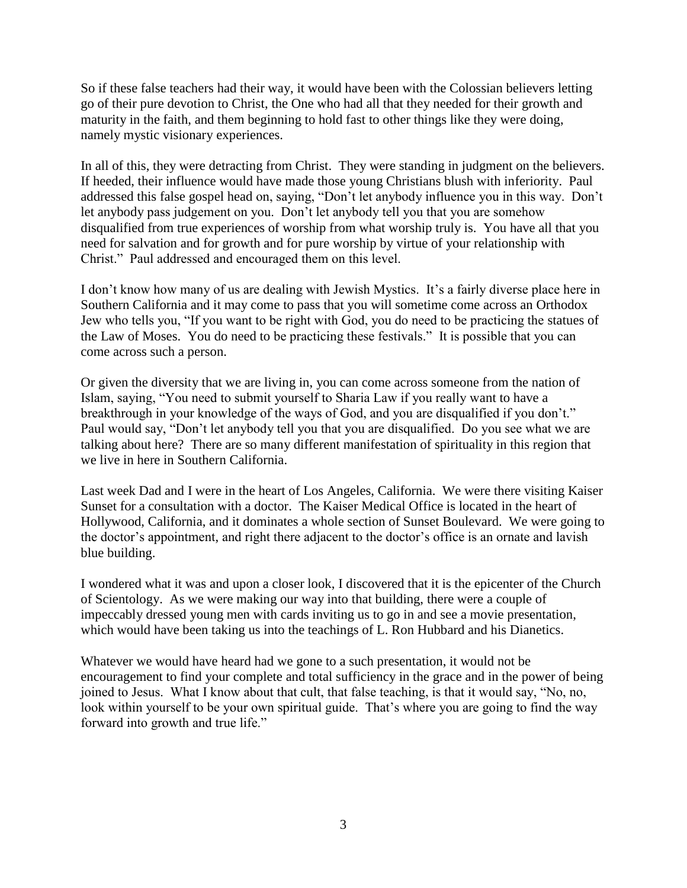So if these false teachers had their way, it would have been with the Colossian believers letting go of their pure devotion to Christ, the One who had all that they needed for their growth and maturity in the faith, and them beginning to hold fast to other things like they were doing, namely mystic visionary experiences.

In all of this, they were detracting from Christ. They were standing in judgment on the believers. If heeded, their influence would have made those young Christians blush with inferiority. Paul addressed this false gospel head on, saying, "Don't let anybody influence you in this way. Don't let anybody pass judgement on you. Don't let anybody tell you that you are somehow disqualified from true experiences of worship from what worship truly is. You have all that you need for salvation and for growth and for pure worship by virtue of your relationship with Christ." Paul addressed and encouraged them on this level.

I don't know how many of us are dealing with Jewish Mystics. It's a fairly diverse place here in Southern California and it may come to pass that you will sometime come across an Orthodox Jew who tells you, "If you want to be right with God, you do need to be practicing the statues of the Law of Moses. You do need to be practicing these festivals." It is possible that you can come across such a person.

Or given the diversity that we are living in, you can come across someone from the nation of Islam, saying, "You need to submit yourself to Sharia Law if you really want to have a breakthrough in your knowledge of the ways of God, and you are disqualified if you don't." Paul would say, "Don't let anybody tell you that you are disqualified. Do you see what we are talking about here? There are so many different manifestation of spirituality in this region that we live in here in Southern California.

Last week Dad and I were in the heart of Los Angeles, California. We were there visiting Kaiser Sunset for a consultation with a doctor. The Kaiser Medical Office is located in the heart of Hollywood, California, and it dominates a whole section of Sunset Boulevard. We were going to the doctor's appointment, and right there adjacent to the doctor's office is an ornate and lavish blue building.

I wondered what it was and upon a closer look, I discovered that it is the epicenter of the Church of Scientology. As we were making our way into that building, there were a couple of impeccably dressed young men with cards inviting us to go in and see a movie presentation, which would have been taking us into the teachings of L. Ron Hubbard and his Dianetics.

Whatever we would have heard had we gone to a such presentation, it would not be encouragement to find your complete and total sufficiency in the grace and in the power of being joined to Jesus. What I know about that cult, that false teaching, is that it would say, "No, no, look within yourself to be your own spiritual guide. That's where you are going to find the way forward into growth and true life."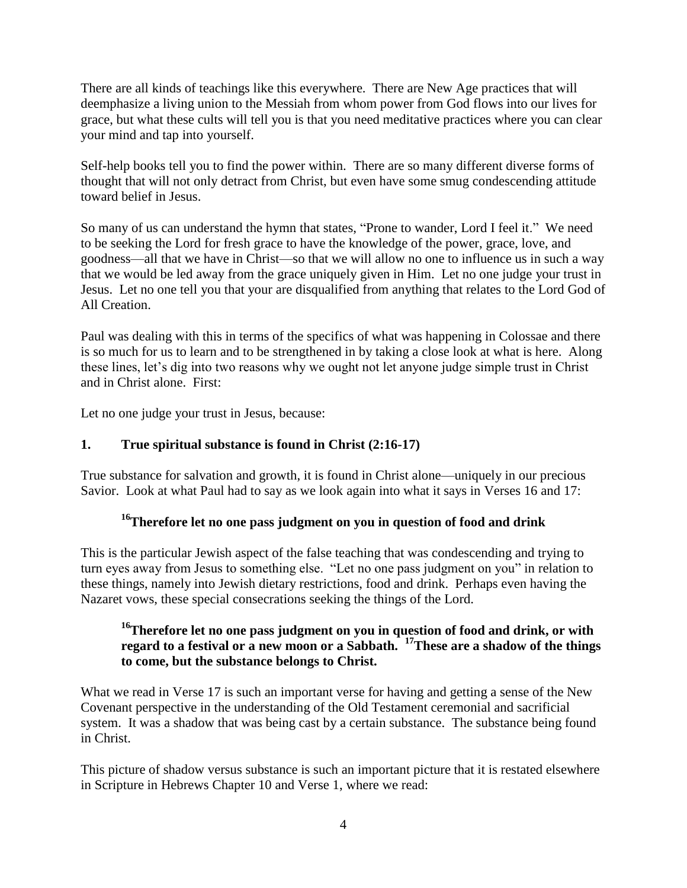There are all kinds of teachings like this everywhere. There are New Age practices that will deemphasize a living union to the Messiah from whom power from God flows into our lives for grace, but what these cults will tell you is that you need meditative practices where you can clear your mind and tap into yourself.

Self-help books tell you to find the power within. There are so many different diverse forms of thought that will not only detract from Christ, but even have some smug condescending attitude toward belief in Jesus.

So many of us can understand the hymn that states, "Prone to wander, Lord I feel it." We need to be seeking the Lord for fresh grace to have the knowledge of the power, grace, love, and goodness—all that we have in Christ—so that we will allow no one to influence us in such a way that we would be led away from the grace uniquely given in Him. Let no one judge your trust in Jesus. Let no one tell you that your are disqualified from anything that relates to the Lord God of All Creation.

Paul was dealing with this in terms of the specifics of what was happening in Colossae and there is so much for us to learn and to be strengthened in by taking a close look at what is here. Along these lines, let's dig into two reasons why we ought not let anyone judge simple trust in Christ and in Christ alone. First:

Let no one judge your trust in Jesus, because:

### **1. True spiritual substance is found in Christ (2:16-17)**

True substance for salvation and growth, it is found in Christ alone—uniquely in our precious Savior. Look at what Paul had to say as we look again into what it says in Verses 16 and 17:

# **<sup>16</sup>Therefore let no one pass judgment on you in question of food and drink**

This is the particular Jewish aspect of the false teaching that was condescending and trying to turn eyes away from Jesus to something else. "Let no one pass judgment on you" in relation to these things, namely into Jewish dietary restrictions, food and drink. Perhaps even having the Nazaret vows, these special consecrations seeking the things of the Lord.

# **<sup>16</sup>Therefore let no one pass judgment on you in question of food and drink, or with regard to a festival or a new moon or a Sabbath. <sup>17</sup>These are a shadow of the things to come, but the substance belongs to Christ.**

What we read in Verse 17 is such an important verse for having and getting a sense of the New Covenant perspective in the understanding of the Old Testament ceremonial and sacrificial system. It was a shadow that was being cast by a certain substance. The substance being found in Christ.

This picture of shadow versus substance is such an important picture that it is restated elsewhere in Scripture in Hebrews Chapter 10 and Verse 1, where we read: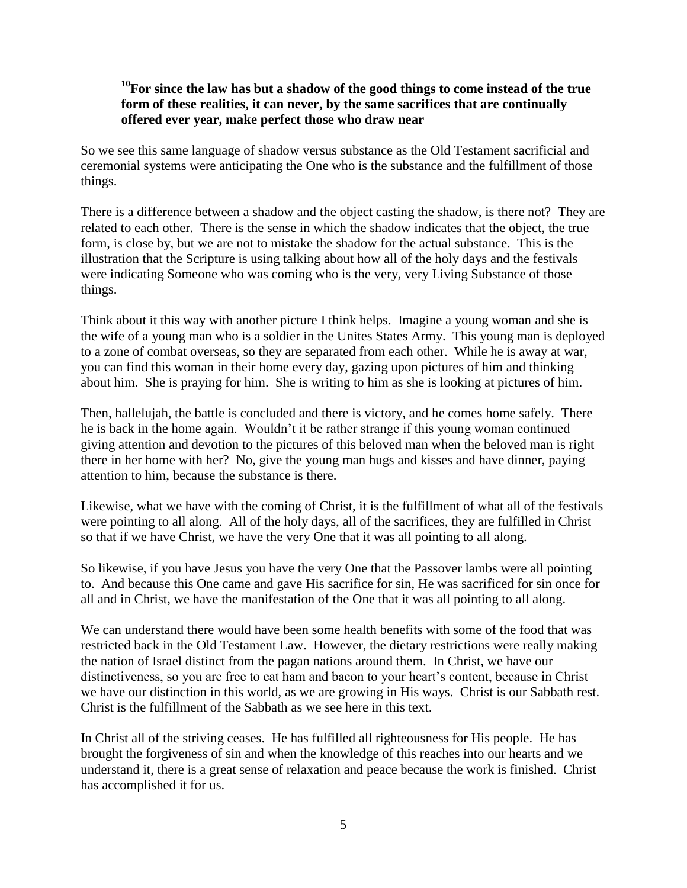# **<sup>10</sup>For since the law has but a shadow of the good things to come instead of the true form of these realities, it can never, by the same sacrifices that are continually offered ever year, make perfect those who draw near**

So we see this same language of shadow versus substance as the Old Testament sacrificial and ceremonial systems were anticipating the One who is the substance and the fulfillment of those things.

There is a difference between a shadow and the object casting the shadow, is there not? They are related to each other. There is the sense in which the shadow indicates that the object, the true form, is close by, but we are not to mistake the shadow for the actual substance. This is the illustration that the Scripture is using talking about how all of the holy days and the festivals were indicating Someone who was coming who is the very, very Living Substance of those things.

Think about it this way with another picture I think helps. Imagine a young woman and she is the wife of a young man who is a soldier in the Unites States Army. This young man is deployed to a zone of combat overseas, so they are separated from each other. While he is away at war, you can find this woman in their home every day, gazing upon pictures of him and thinking about him. She is praying for him. She is writing to him as she is looking at pictures of him.

Then, hallelujah, the battle is concluded and there is victory, and he comes home safely. There he is back in the home again. Wouldn't it be rather strange if this young woman continued giving attention and devotion to the pictures of this beloved man when the beloved man is right there in her home with her? No, give the young man hugs and kisses and have dinner, paying attention to him, because the substance is there.

Likewise, what we have with the coming of Christ, it is the fulfillment of what all of the festivals were pointing to all along. All of the holy days, all of the sacrifices, they are fulfilled in Christ so that if we have Christ, we have the very One that it was all pointing to all along.

So likewise, if you have Jesus you have the very One that the Passover lambs were all pointing to. And because this One came and gave His sacrifice for sin, He was sacrificed for sin once for all and in Christ, we have the manifestation of the One that it was all pointing to all along.

We can understand there would have been some health benefits with some of the food that was restricted back in the Old Testament Law. However, the dietary restrictions were really making the nation of Israel distinct from the pagan nations around them. In Christ, we have our distinctiveness, so you are free to eat ham and bacon to your heart's content, because in Christ we have our distinction in this world, as we are growing in His ways. Christ is our Sabbath rest. Christ is the fulfillment of the Sabbath as we see here in this text.

In Christ all of the striving ceases. He has fulfilled all righteousness for His people. He has brought the forgiveness of sin and when the knowledge of this reaches into our hearts and we understand it, there is a great sense of relaxation and peace because the work is finished. Christ has accomplished it for us.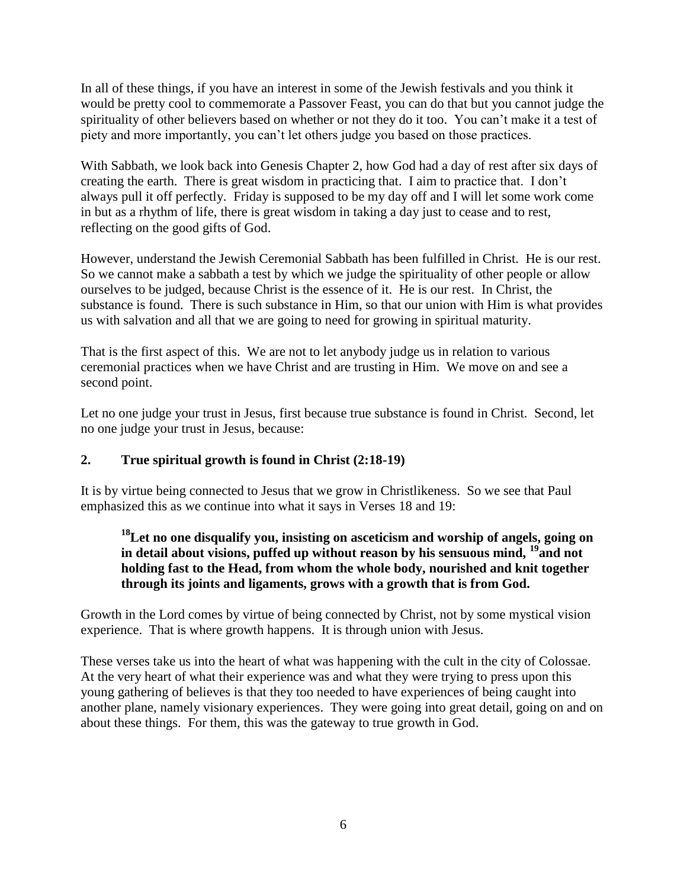In all of these things, if you have an interest in some of the Jewish festivals and you think it would be pretty cool to commemorate a Passover Feast, you can do that but you cannot judge the spirituality of other believers based on whether or not they do it too. You can't make it a test of piety and more importantly, you can't let others judge you based on those practices.

With Sabbath, we look back into Genesis Chapter 2, how God had a day of rest after six days of creating the earth. There is great wisdom in practicing that. I aim to practice that. I don't always pull it off perfectly. Friday is supposed to be my day off and I will let some work come in but as a rhythm of life, there is great wisdom in taking a day just to cease and to rest, reflecting on the good gifts of God.

However, understand the Jewish Ceremonial Sabbath has been fulfilled in Christ. He is our rest. So we cannot make a sabbath a test by which we judge the spirituality of other people or allow ourselves to be judged, because Christ is the essence of it. He is our rest. In Christ, the substance is found. There is such substance in Him, so that our union with Him is what provides us with salvation and all that we are going to need for growing in spiritual maturity.

That is the first aspect of this. We are not to let anybody judge us in relation to various ceremonial practices when we have Christ and are trusting in Him. We move on and see a second point.

Let no one judge your trust in Jesus, first because true substance is found in Christ. Second, let no one judge your trust in Jesus, because:

### **2. True spiritual growth is found in Christ (2:18-19)**

It is by virtue being connected to Jesus that we grow in Christlikeness. So we see that Paul emphasized this as we continue into what it says in Verses 18 and 19:

# **<sup>18</sup>Let no one disqualify you, insisting on asceticism and worship of angels, going on in detail about visions, puffed up without reason by his sensuous mind, <sup>19</sup>and not holding fast to the Head, from whom the whole body, nourished and knit together through its joints and ligaments, grows with a growth that is from God.**

Growth in the Lord comes by virtue of being connected by Christ, not by some mystical vision experience. That is where growth happens. It is through union with Jesus.

These verses take us into the heart of what was happening with the cult in the city of Colossae. At the very heart of what their experience was and what they were trying to press upon this young gathering of believes is that they too needed to have experiences of being caught into another plane, namely visionary experiences. They were going into great detail, going on and on about these things. For them, this was the gateway to true growth in God.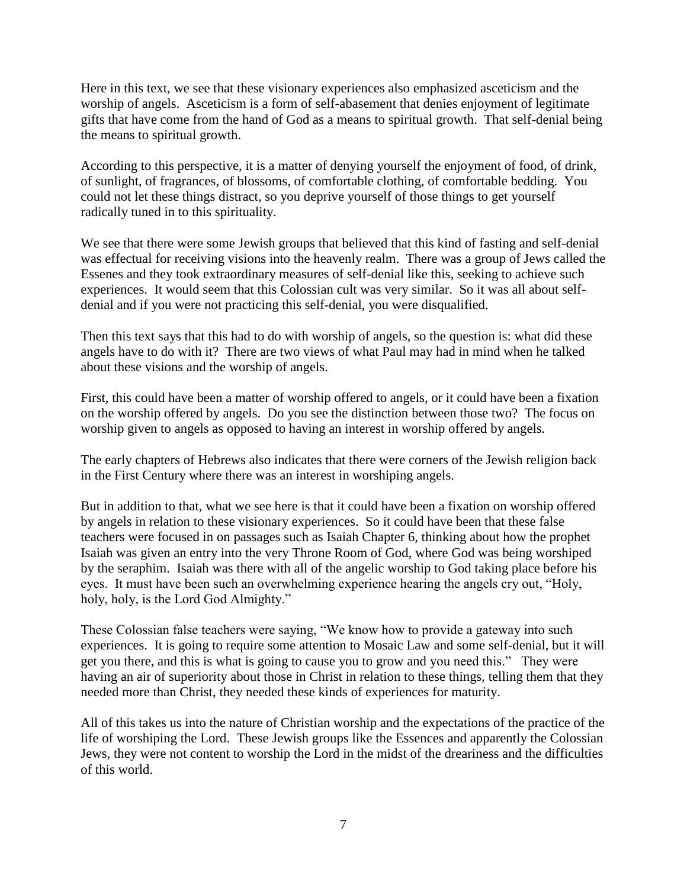Here in this text, we see that these visionary experiences also emphasized asceticism and the worship of angels. Asceticism is a form of self-abasement that denies enjoyment of legitimate gifts that have come from the hand of God as a means to spiritual growth. That self-denial being the means to spiritual growth.

According to this perspective, it is a matter of denying yourself the enjoyment of food, of drink, of sunlight, of fragrances, of blossoms, of comfortable clothing, of comfortable bedding. You could not let these things distract, so you deprive yourself of those things to get yourself radically tuned in to this spirituality.

We see that there were some Jewish groups that believed that this kind of fasting and self-denial was effectual for receiving visions into the heavenly realm. There was a group of Jews called the Essenes and they took extraordinary measures of self-denial like this, seeking to achieve such experiences. It would seem that this Colossian cult was very similar. So it was all about selfdenial and if you were not practicing this self-denial, you were disqualified.

Then this text says that this had to do with worship of angels, so the question is: what did these angels have to do with it? There are two views of what Paul may had in mind when he talked about these visions and the worship of angels.

First, this could have been a matter of worship offered to angels, or it could have been a fixation on the worship offered by angels. Do you see the distinction between those two? The focus on worship given to angels as opposed to having an interest in worship offered by angels.

The early chapters of Hebrews also indicates that there were corners of the Jewish religion back in the First Century where there was an interest in worshiping angels.

But in addition to that, what we see here is that it could have been a fixation on worship offered by angels in relation to these visionary experiences. So it could have been that these false teachers were focused in on passages such as Isaiah Chapter 6, thinking about how the prophet Isaiah was given an entry into the very Throne Room of God, where God was being worshiped by the seraphim. Isaiah was there with all of the angelic worship to God taking place before his eyes. It must have been such an overwhelming experience hearing the angels cry out, "Holy, holy, holy, is the Lord God Almighty."

These Colossian false teachers were saying, "We know how to provide a gateway into such experiences. It is going to require some attention to Mosaic Law and some self-denial, but it will get you there, and this is what is going to cause you to grow and you need this." They were having an air of superiority about those in Christ in relation to these things, telling them that they needed more than Christ, they needed these kinds of experiences for maturity.

All of this takes us into the nature of Christian worship and the expectations of the practice of the life of worshiping the Lord. These Jewish groups like the Essences and apparently the Colossian Jews, they were not content to worship the Lord in the midst of the dreariness and the difficulties of this world.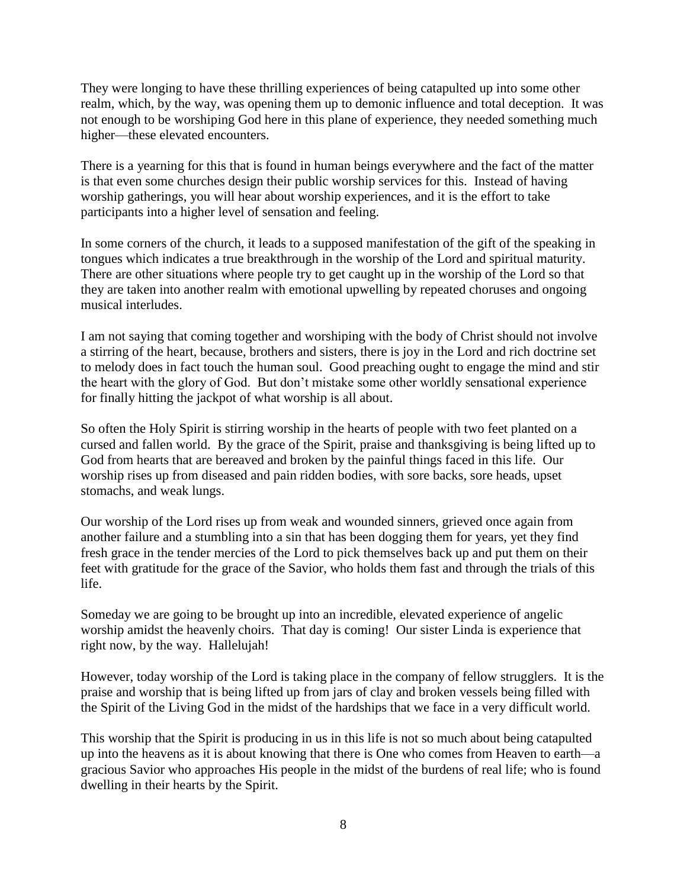They were longing to have these thrilling experiences of being catapulted up into some other realm, which, by the way, was opening them up to demonic influence and total deception. It was not enough to be worshiping God here in this plane of experience, they needed something much higher—these elevated encounters.

There is a yearning for this that is found in human beings everywhere and the fact of the matter is that even some churches design their public worship services for this. Instead of having worship gatherings, you will hear about worship experiences, and it is the effort to take participants into a higher level of sensation and feeling.

In some corners of the church, it leads to a supposed manifestation of the gift of the speaking in tongues which indicates a true breakthrough in the worship of the Lord and spiritual maturity. There are other situations where people try to get caught up in the worship of the Lord so that they are taken into another realm with emotional upwelling by repeated choruses and ongoing musical interludes.

I am not saying that coming together and worshiping with the body of Christ should not involve a stirring of the heart, because, brothers and sisters, there is joy in the Lord and rich doctrine set to melody does in fact touch the human soul. Good preaching ought to engage the mind and stir the heart with the glory of God. But don't mistake some other worldly sensational experience for finally hitting the jackpot of what worship is all about.

So often the Holy Spirit is stirring worship in the hearts of people with two feet planted on a cursed and fallen world. By the grace of the Spirit, praise and thanksgiving is being lifted up to God from hearts that are bereaved and broken by the painful things faced in this life. Our worship rises up from diseased and pain ridden bodies, with sore backs, sore heads, upset stomachs, and weak lungs.

Our worship of the Lord rises up from weak and wounded sinners, grieved once again from another failure and a stumbling into a sin that has been dogging them for years, yet they find fresh grace in the tender mercies of the Lord to pick themselves back up and put them on their feet with gratitude for the grace of the Savior, who holds them fast and through the trials of this life.

Someday we are going to be brought up into an incredible, elevated experience of angelic worship amidst the heavenly choirs. That day is coming! Our sister Linda is experience that right now, by the way. Hallelujah!

However, today worship of the Lord is taking place in the company of fellow strugglers. It is the praise and worship that is being lifted up from jars of clay and broken vessels being filled with the Spirit of the Living God in the midst of the hardships that we face in a very difficult world.

This worship that the Spirit is producing in us in this life is not so much about being catapulted up into the heavens as it is about knowing that there is One who comes from Heaven to earth—a gracious Savior who approaches His people in the midst of the burdens of real life; who is found dwelling in their hearts by the Spirit.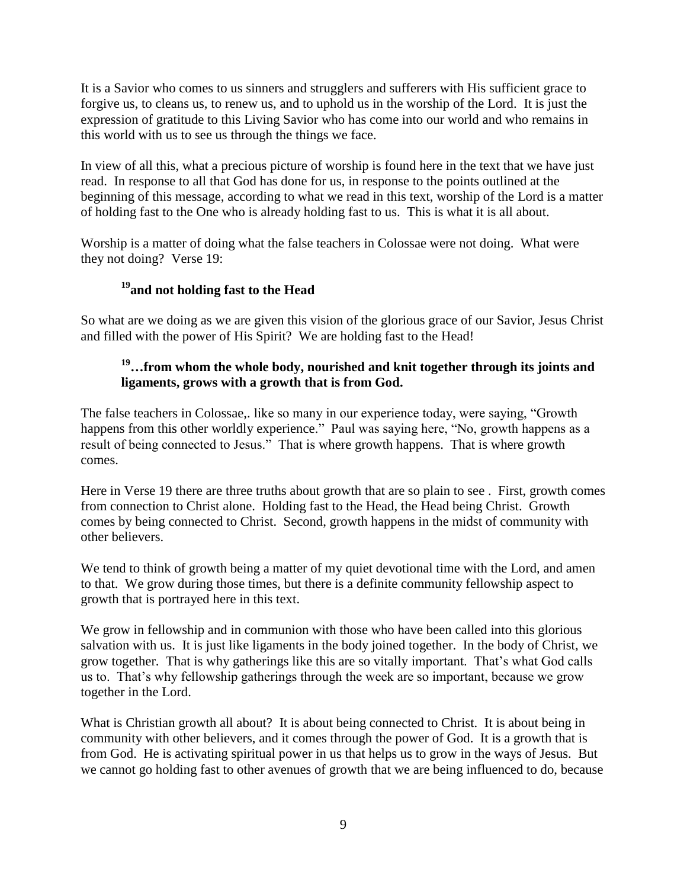It is a Savior who comes to us sinners and strugglers and sufferers with His sufficient grace to forgive us, to cleans us, to renew us, and to uphold us in the worship of the Lord. It is just the expression of gratitude to this Living Savior who has come into our world and who remains in this world with us to see us through the things we face.

In view of all this, what a precious picture of worship is found here in the text that we have just read. In response to all that God has done for us, in response to the points outlined at the beginning of this message, according to what we read in this text, worship of the Lord is a matter of holding fast to the One who is already holding fast to us. This is what it is all about.

Worship is a matter of doing what the false teachers in Colossae were not doing. What were they not doing? Verse 19:

# **<sup>19</sup>and not holding fast to the Head**

So what are we doing as we are given this vision of the glorious grace of our Savior, Jesus Christ and filled with the power of His Spirit? We are holding fast to the Head!

### **<sup>19</sup>…from whom the whole body, nourished and knit together through its joints and ligaments, grows with a growth that is from God.**

The false teachers in Colossae,. like so many in our experience today, were saying, "Growth happens from this other worldly experience." Paul was saying here, "No, growth happens as a result of being connected to Jesus." That is where growth happens. That is where growth comes.

Here in Verse 19 there are three truths about growth that are so plain to see . First, growth comes from connection to Christ alone. Holding fast to the Head, the Head being Christ. Growth comes by being connected to Christ. Second, growth happens in the midst of community with other believers.

We tend to think of growth being a matter of my quiet devotional time with the Lord, and amen to that. We grow during those times, but there is a definite community fellowship aspect to growth that is portrayed here in this text.

We grow in fellowship and in communion with those who have been called into this glorious salvation with us. It is just like ligaments in the body joined together. In the body of Christ, we grow together. That is why gatherings like this are so vitally important. That's what God calls us to. That's why fellowship gatherings through the week are so important, because we grow together in the Lord.

What is Christian growth all about? It is about being connected to Christ. It is about being in community with other believers, and it comes through the power of God. It is a growth that is from God. He is activating spiritual power in us that helps us to grow in the ways of Jesus. But we cannot go holding fast to other avenues of growth that we are being influenced to do, because